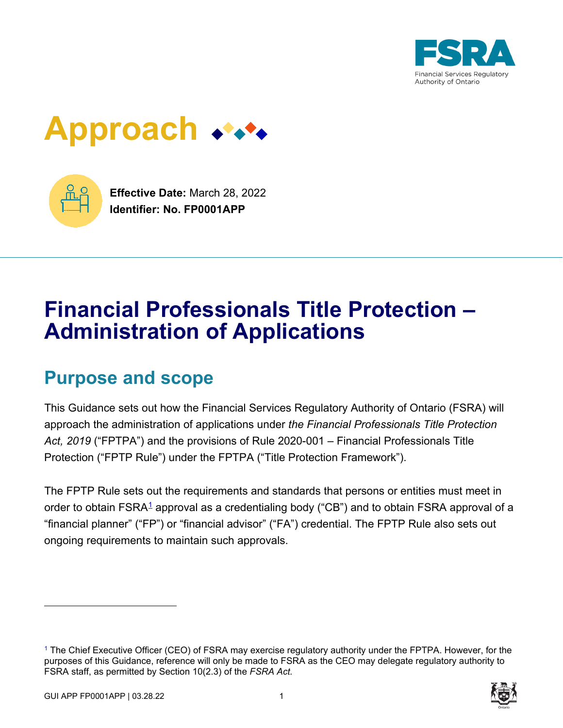

# **Approach**



**Effective Date:** March 28, 2022 **Identifier: No. FP0001APP**

# **Financial Professionals Title Protection – Administration of Applications**

# **Purpose and scope**

This Guidance sets out how the Financial Services Regulatory Authority of Ontario (FSRA) will approach the administration of applications under *the Financial Professionals Title Protection Act, 2019* ("FPTPA") and the provisions of Rule 2020-001 – Financial Professionals Title Protection ("FPTP Rule") under the FPTPA ("Title Protection Framework").

The FPTP Rule sets out the requirements and standards that persons or entities must meet in order to obtain FSRA<sup>1</sup> approval as a credentialing body ("CB") and to obtain FSRA approval of a "financial planner" ("FP") or "financial advisor" ("FA") credential. The FPTP Rule also sets out ongoing requirements to maintain such approvals.

<sup>1</sup> The Chief Executive Officer (CEO) of FSRA may exercise regulatory authority under the FPTPA. However, for the purposes of this Guidance, reference will only be made to FSRA as the CEO may delegate regulatory authority to FSRA staff, as permitted by Section 10(2.3) of the *FSRA Act.*

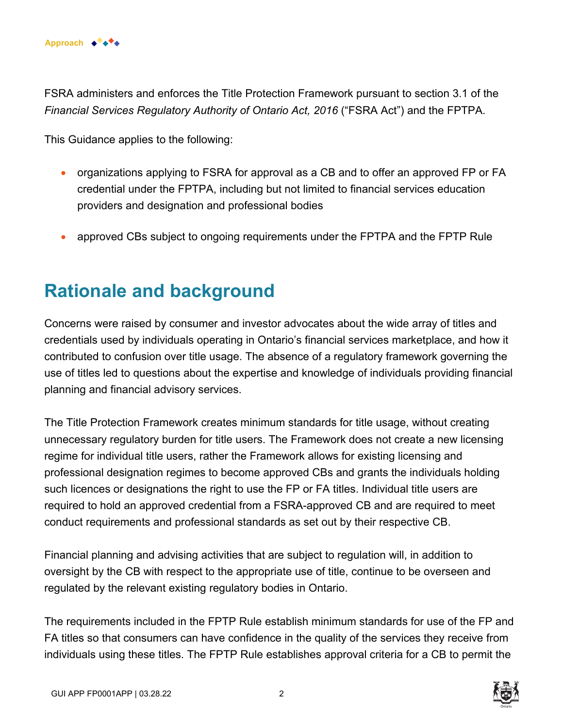

FSRA administers and enforces the Title Protection Framework pursuant to section 3.1 of the *Financial Services Regulatory Authority of Ontario Act, 2016* ("FSRA Act") and the FPTPA.

This Guidance applies to the following:

- organizations applying to FSRA for approval as a CB and to offer an approved FP or FA credential under the FPTPA, including but not limited to financial services education providers and designation and professional bodies
- approved CBs subject to ongoing requirements under the FPTPA and the FPTP Rule

# **Rationale and background**

Concerns were raised by consumer and investor advocates about the wide array of titles and credentials used by individuals operating in Ontario's financial services marketplace, and how it contributed to confusion over title usage. The absence of a regulatory framework governing the use of titles led to questions about the expertise and knowledge of individuals providing financial planning and financial advisory services.

The Title Protection Framework creates minimum standards for title usage, without creating unnecessary regulatory burden for title users. The Framework does not create a new licensing regime for individual title users, rather the Framework allows for existing licensing and professional designation regimes to become approved CBs and grants the individuals holding such licences or designations the right to use the FP or FA titles. Individual title users are required to hold an approved credential from a FSRA-approved CB and are required to meet conduct requirements and professional standards as set out by their respective CB.

Financial planning and advising activities that are subject to regulation will, in addition to oversight by the CB with respect to the appropriate use of title, continue to be overseen and regulated by the relevant existing regulatory bodies in Ontario.

The requirements included in the FPTP Rule establish minimum standards for use of the FP and FA titles so that consumers can have confidence in the quality of the services they receive from individuals using these titles. The FPTP Rule establishes approval criteria for a CB to permit the

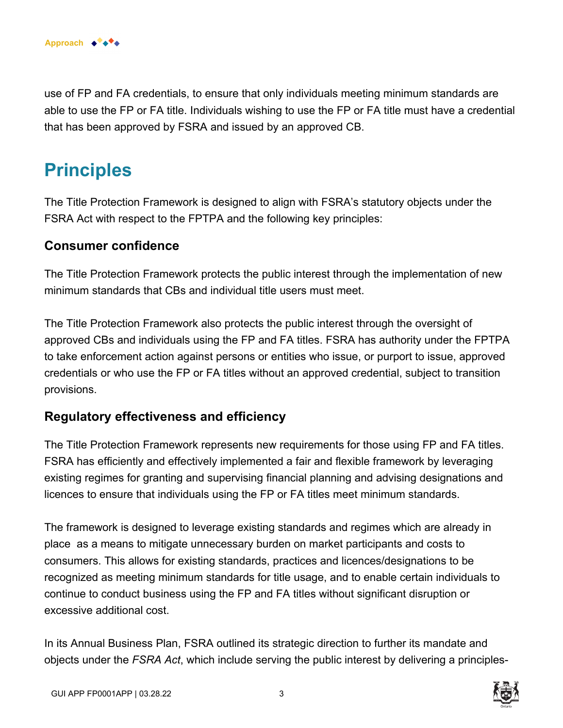

use of FP and FA credentials, to ensure that only individuals meeting minimum standards are able to use the FP or FA title. Individuals wishing to use the FP or FA title must have a credential that has been approved by FSRA and issued by an approved CB.

# **Principles**

The Title Protection Framework is designed to align with FSRA's statutory objects under the FSRA Act with respect to the FPTPA and the following key principles:

#### **Consumer confidence**

The Title Protection Framework protects the public interest through the implementation of new minimum standards that CBs and individual title users must meet.

The Title Protection Framework also protects the public interest through the oversight of approved CBs and individuals using the FP and FA titles. FSRA has authority under the FPTPA to take enforcement action against persons or entities who issue, or purport to issue, approved credentials or who use the FP or FA titles without an approved credential, subject to transition provisions.

### **Regulatory effectiveness and efficiency**

The Title Protection Framework represents new requirements for those using FP and FA titles. FSRA has efficiently and effectively implemented a fair and flexible framework by leveraging existing regimes for granting and supervising financial planning and advising designations and licences to ensure that individuals using the FP or FA titles meet minimum standards.

The framework is designed to leverage existing standards and regimes which are already in place as a means to mitigate unnecessary burden on market participants and costs to consumers. This allows for existing standards, practices and licences/designations to be recognized as meeting minimum standards for title usage, and to enable certain individuals to continue to conduct business using the FP and FA titles without significant disruption or excessive additional cost.

In its Annual Business Plan, FSRA outlined its strategic direction to further its mandate and objects under the *FSRA Act*, which include serving the public interest by delivering a principles-

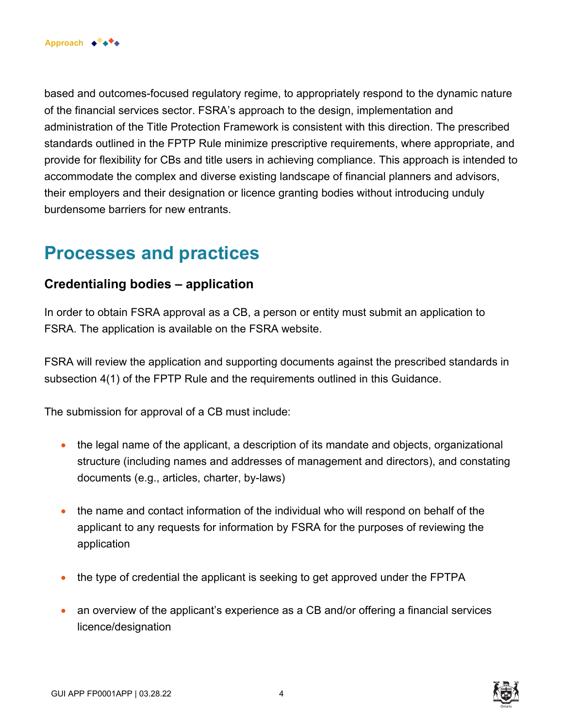

based and outcomes-focused regulatory regime, to appropriately respond to the dynamic nature of the financial services sector. FSRA's approach to the design, implementation and administration of the Title Protection Framework is consistent with this direction. The prescribed standards outlined in the FPTP Rule minimize prescriptive requirements, where appropriate, and provide for flexibility for CBs and title users in achieving compliance. This approach is intended to accommodate the complex and diverse existing landscape of financial planners and advisors, their employers and their designation or licence granting bodies without introducing unduly burdensome barriers for new entrants.

# **Processes and practices**

### **Credentialing bodies – application**

In order to obtain FSRA approval as a CB, a person or entity must submit an application to FSRA. The application is available on the FSRA website.

FSRA will review the application and supporting documents against the prescribed standards in subsection 4(1) of the FPTP Rule and the requirements outlined in this Guidance.

The submission for approval of a CB must include:

- the legal name of the applicant, a description of its mandate and objects, organizational structure (including names and addresses of management and directors), and constating documents (e.g., articles, charter, by-laws)
- the name and contact information of the individual who will respond on behalf of the applicant to any requests for information by FSRA for the purposes of reviewing the application
- the type of credential the applicant is seeking to get approved under the FPTPA
- an overview of the applicant's experience as a CB and/or offering a financial services licence/designation

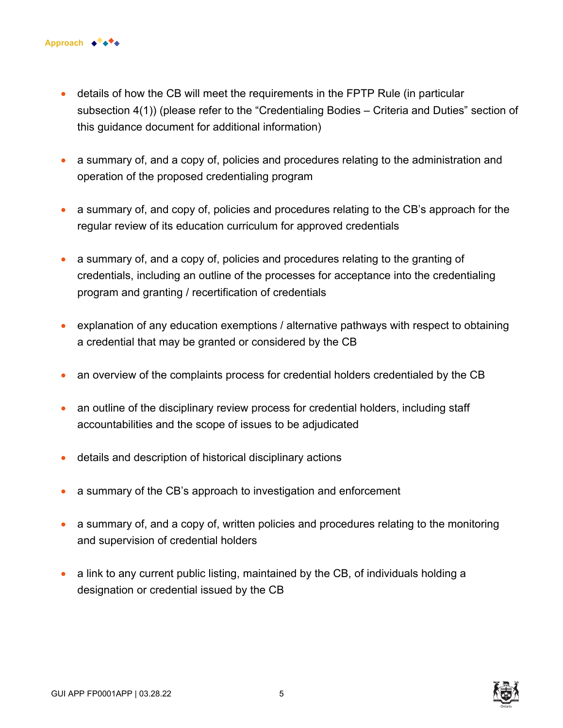- details of how the CB will meet the requirements in the FPTP Rule (in particular subsection 4(1)) (please refer to the "Credentialing Bodies – Criteria and Duties" section of this guidance document for additional information)
- a summary of, and a copy of, policies and procedures relating to the administration and operation of the proposed credentialing program
- a summary of, and copy of, policies and procedures relating to the CB's approach for the regular review of its education curriculum for approved credentials
- a summary of, and a copy of, policies and procedures relating to the granting of credentials, including an outline of the processes for acceptance into the credentialing program and granting / recertification of credentials
- explanation of any education exemptions / alternative pathways with respect to obtaining a credential that may be granted or considered by the CB
- an overview of the complaints process for credential holders credentialed by the CB
- an outline of the disciplinary review process for credential holders, including staff accountabilities and the scope of issues to be adjudicated
- details and description of historical disciplinary actions
- a summary of the CB's approach to investigation and enforcement
- a summary of, and a copy of, written policies and procedures relating to the monitoring and supervision of credential holders
- a link to any current public listing, maintained by the CB, of individuals holding a designation or credential issued by the CB

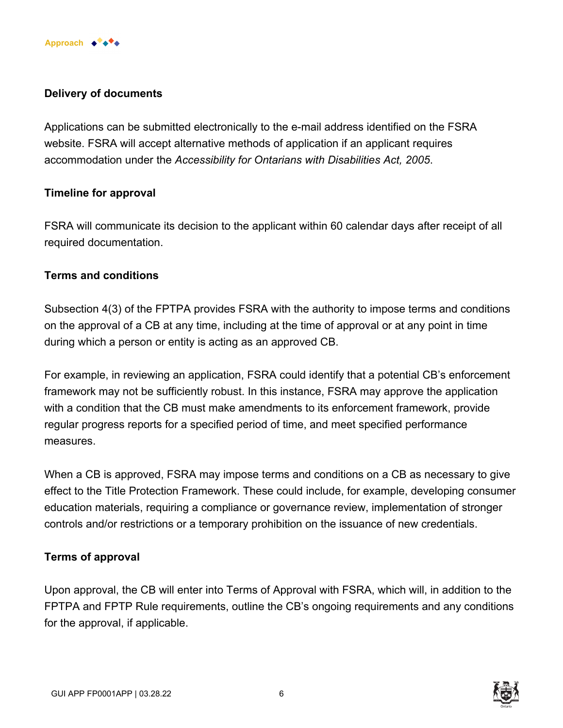

#### **Delivery of documents**

Applications can be submitted electronically to the e-mail address identified on the FSRA website. FSRA will accept alternative methods of application if an applicant requires accommodation under the *Accessibility for Ontarians with Disabilities Act, 2005*.

#### **Timeline for approval**

FSRA will communicate its decision to the applicant within 60 calendar days after receipt of all required documentation.

#### **Terms and conditions**

Subsection 4(3) of the FPTPA provides FSRA with the authority to impose terms and conditions on the approval of a CB at any time, including at the time of approval or at any point in time during which a person or entity is acting as an approved CB.

For example, in reviewing an application, FSRA could identify that a potential CB's enforcement framework may not be sufficiently robust. In this instance, FSRA may approve the application with a condition that the CB must make amendments to its enforcement framework, provide regular progress reports for a specified period of time, and meet specified performance measures.

When a CB is approved, FSRA may impose terms and conditions on a CB as necessary to give effect to the Title Protection Framework. These could include, for example, developing consumer education materials, requiring a compliance or governance review, implementation of stronger controls and/or restrictions or a temporary prohibition on the issuance of new credentials.

#### **Terms of approval**

Upon approval, the CB will enter into Terms of Approval with FSRA, which will, in addition to the FPTPA and FPTP Rule requirements, outline the CB's ongoing requirements and any conditions for the approval, if applicable.

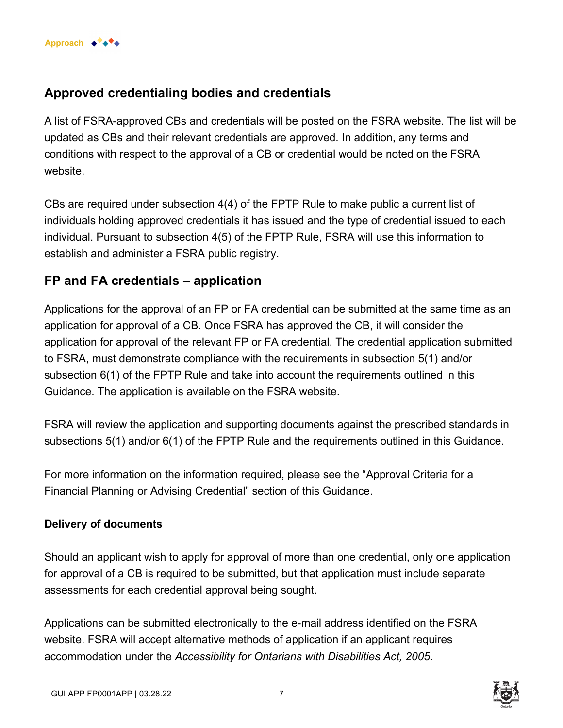### **Approved credentialing bodies and credentials**

A list of FSRA-approved CBs and credentials will be posted on the FSRA website. The list will be updated as CBs and their relevant credentials are approved. In addition, any terms and conditions with respect to the approval of a CB or credential would be noted on the FSRA website.

CBs are required under subsection 4(4) of the FPTP Rule to make public a current list of individuals holding approved credentials it has issued and the type of credential issued to each individual. Pursuant to subsection 4(5) of the FPTP Rule, FSRA will use this information to establish and administer a FSRA public registry.

### **FP and FA credentials – application**

Applications for the approval of an FP or FA credential can be submitted at the same time as an application for approval of a CB. Once FSRA has approved the CB, it will consider the application for approval of the relevant FP or FA credential. The credential application submitted to FSRA, must demonstrate compliance with the requirements in subsection 5(1) and/or subsection 6(1) of the FPTP Rule and take into account the requirements outlined in this Guidance. The application is available on the FSRA website.

FSRA will review the application and supporting documents against the prescribed standards in subsections 5(1) and/or 6(1) of the FPTP Rule and the requirements outlined in this Guidance.

For more information on the information required, please see the "Approval Criteria for a Financial Planning or Advising Credential" section of this Guidance.

#### **Delivery of documents**

Should an applicant wish to apply for approval of more than one credential, only one application for approval of a CB is required to be submitted, but that application must include separate assessments for each credential approval being sought.

Applications can be submitted electronically to the e-mail address identified on the FSRA website. FSRA will accept alternative methods of application if an applicant requires accommodation under the *Accessibility for Ontarians with Disabilities Act, 2005*.

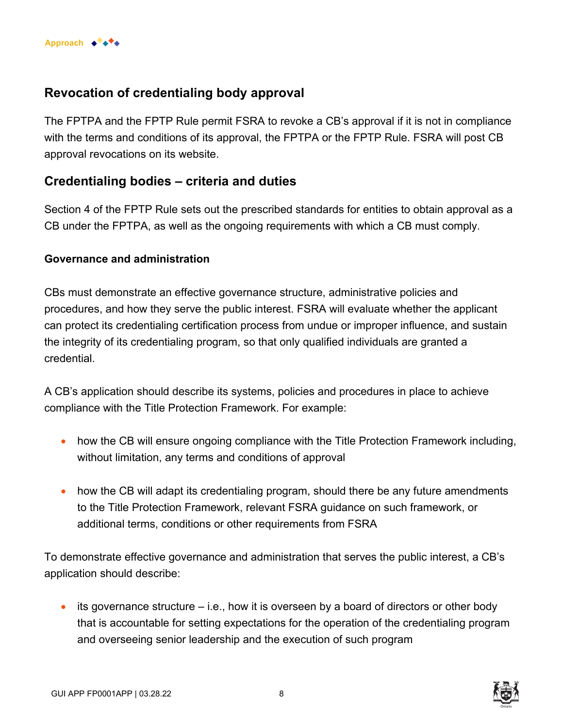

### **Revocation of credentialing body approval**

The FPTPA and the FPTP Rule permit FSRA to revoke a CB's approval if it is not in compliance with the terms and conditions of its approval, the FPTPA or the FPTP Rule. FSRA will post CB approval revocations on its website.

### **Credentialing bodies – criteria and duties**

Section 4 of the FPTP Rule sets out the prescribed standards for entities to obtain approval as a CB under the FPTPA, as well as the ongoing requirements with which a CB must comply.

#### **Governance and administration**

CBs must demonstrate an effective governance structure, administrative policies and procedures, and how they serve the public interest. FSRA will evaluate whether the applicant can protect its credentialing certification process from undue or improper influence, and sustain the integrity of its credentialing program, so that only qualified individuals are granted a credential.

A CB's application should describe its systems, policies and procedures in place to achieve compliance with the Title Protection Framework. For example:

- how the CB will ensure ongoing compliance with the Title Protection Framework including, without limitation, any terms and conditions of approval
- how the CB will adapt its credentialing program, should there be any future amendments to the Title Protection Framework, relevant FSRA guidance on such framework, or additional terms, conditions or other requirements from FSRA

To demonstrate effective governance and administration that serves the public interest, a CB's application should describe:

 $\bullet$  its governance structure  $-$  i.e., how it is overseen by a board of directors or other body that is accountable for setting expectations for the operation of the credentialing program and overseeing senior leadership and the execution of such program



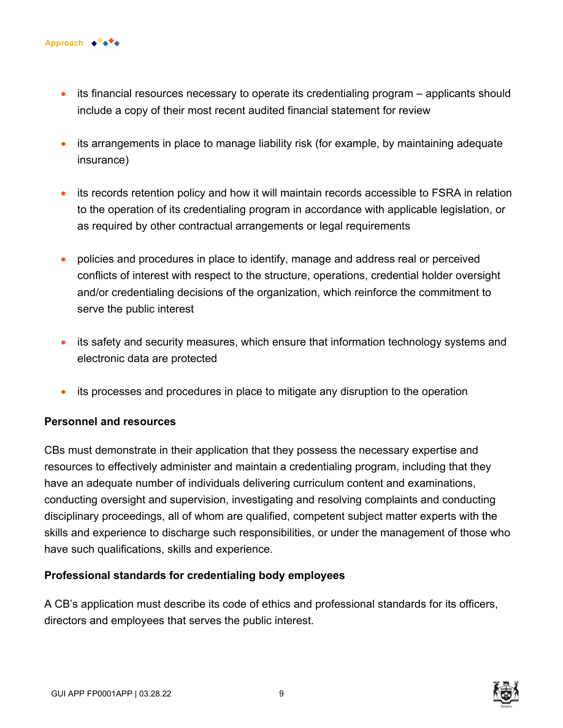

- its financial resources necessary to operate its credentialing program applicants should include a copy of their most recent audited financial statement for review
- its arrangements in place to manage liability risk (for example, by maintaining adequate insurance)
- its records retention policy and how it will maintain records accessible to FSRA in relation to the operation of its credentialing program in accordance with applicable legislation, or as required by other contractual arrangements or legal requirements
- policies and procedures in place to identify, manage and address real or perceived conflicts of interest with respect to the structure, operations, credential holder oversight and/or credentialing decisions of the organization, which reinforce the commitment to serve the public interest
- its safety and security measures, which ensure that information technology systems and electronic data are protected
- its processes and procedures in place to mitigate any disruption to the operation

#### **Personnel and resources**

CBs must demonstrate in their application that they possess the necessary expertise and resources to effectively administer and maintain a credentialing program, including that they have an adequate number of individuals delivering curriculum content and examinations, conducting oversight and supervision, investigating and resolving complaints and conducting disciplinary proceedings, all of whom are qualified, competent subject matter experts with the skills and experience to discharge such responsibilities, or under the management of those who have such qualifications, skills and experience.

#### **Professional standards for credentialing body employees**

A CB's application must describe its code of ethics and professional standards for its officers, directors and employees that serves the public interest.

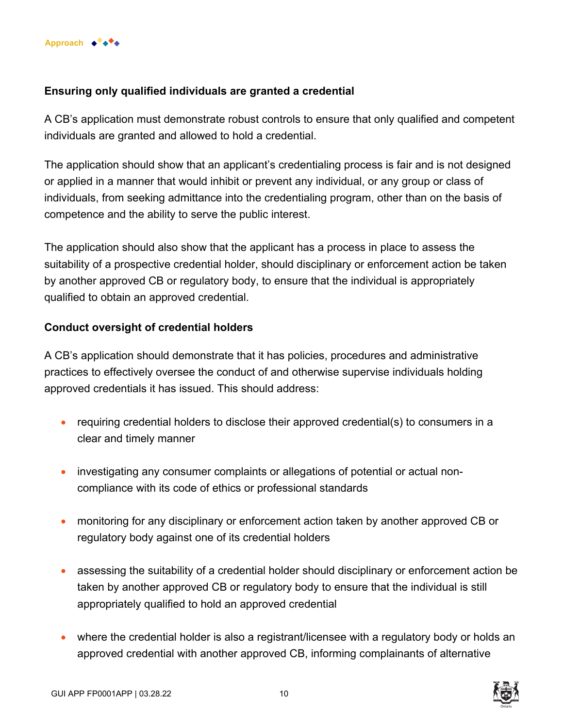

#### **Ensuring only qualified individuals are granted a credential**

A CB's application must demonstrate robust controls to ensure that only qualified and competent individuals are granted and allowed to hold a credential.

The application should show that an applicant's credentialing process is fair and is not designed or applied in a manner that would inhibit or prevent any individual, or any group or class of individuals, from seeking admittance into the credentialing program, other than on the basis of competence and the ability to serve the public interest.

The application should also show that the applicant has a process in place to assess the suitability of a prospective credential holder, should disciplinary or enforcement action be taken by another approved CB or regulatory body, to ensure that the individual is appropriately qualified to obtain an approved credential.

#### **Conduct oversight of credential holders**

A CB's application should demonstrate that it has policies, procedures and administrative practices to effectively oversee the conduct of and otherwise supervise individuals holding approved credentials it has issued. This should address:

- requiring credential holders to disclose their approved credential(s) to consumers in a clear and timely manner
- investigating any consumer complaints or allegations of potential or actual noncompliance with its code of ethics or professional standards
- monitoring for any disciplinary or enforcement action taken by another approved CB or regulatory body against one of its credential holders
- assessing the suitability of a credential holder should disciplinary or enforcement action be taken by another approved CB or regulatory body to ensure that the individual is still appropriately qualified to hold an approved credential
- where the credential holder is also a registrant/licensee with a regulatory body or holds an approved credential with another approved CB, informing complainants of alternative



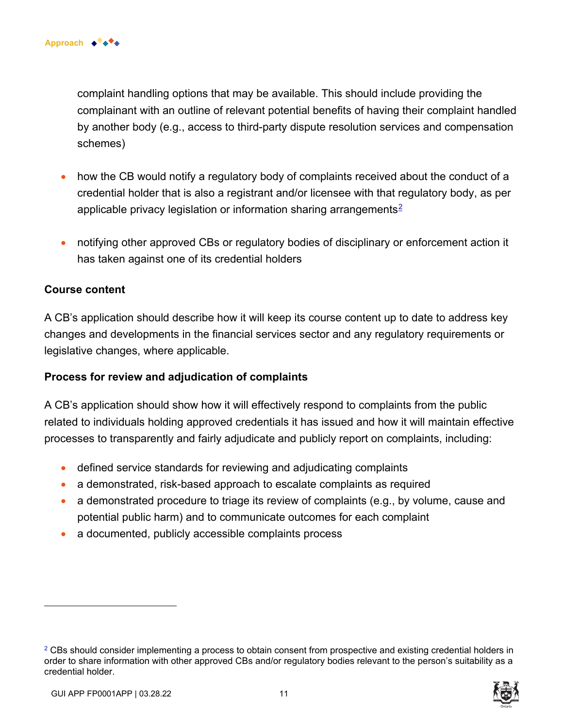complaint handling options that may be available. This should include providing the complainant with an outline of relevant potential benefits of having their complaint handled by another body (e.g., access to third-party dispute resolution services and compensation schemes)

- how the CB would notify a regulatory body of complaints received about the conduct of a credential holder that is also a registrant and/or licensee with that regulatory body, as per applicable privacy legislation or information sharing arrangements<sup>2</sup>
- notifying other approved CBs or regulatory bodies of disciplinary or enforcement action it has taken against one of its credential holders

#### **Course content**

A CB's application should describe how it will keep its course content up to date to address key changes and developments in the financial services sector and any regulatory requirements or legislative changes, where applicable.

#### **Process for review and adjudication of complaints**

A CB's application should show how it will effectively respond to complaints from the public related to individuals holding approved credentials it has issued and how it will maintain effective processes to transparently and fairly adjudicate and publicly report on complaints, including:

- defined service standards for reviewing and adjudicating complaints
- a demonstrated, risk-based approach to escalate complaints as required
- a demonstrated procedure to triage its review of complaints (e.g., by volume, cause and potential public harm) and to communicate outcomes for each complaint
- a documented, publicly accessible complaints process

 $2$  CBs should consider implementing a process to obtain consent from prospective and existing credential holders in order to share information with other approved CBs and/or regulatory bodies relevant to the person's suitability as a credential holder.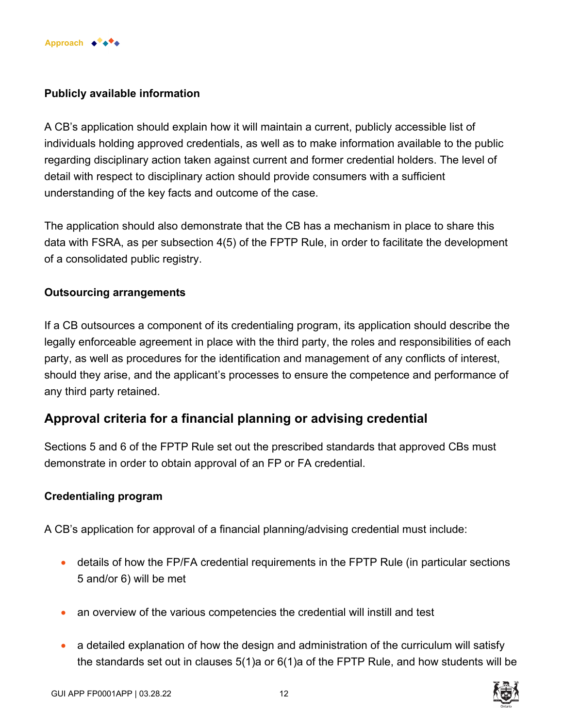

#### **Publicly available information**

A CB's application should explain how it will maintain a current, publicly accessible list of individuals holding approved credentials, as well as to make information available to the public regarding disciplinary action taken against current and former credential holders. The level of detail with respect to disciplinary action should provide consumers with a sufficient understanding of the key facts and outcome of the case.

The application should also demonstrate that the CB has a mechanism in place to share this data with FSRA, as per subsection 4(5) of the FPTP Rule, in order to facilitate the development of a consolidated public registry.

#### **Outsourcing arrangements**

If a CB outsources a component of its credentialing program, its application should describe the legally enforceable agreement in place with the third party, the roles and responsibilities of each party, as well as procedures for the identification and management of any conflicts of interest, should they arise, and the applicant's processes to ensure the competence and performance of any third party retained.

### **Approval criteria for a financial planning or advising credential**

Sections 5 and 6 of the FPTP Rule set out the prescribed standards that approved CBs must demonstrate in order to obtain approval of an FP or FA credential.

#### **Credentialing program**

A CB's application for approval of a financial planning/advising credential must include:

- details of how the FP/FA credential requirements in the FPTP Rule (in particular sections 5 and/or 6) will be met
- an overview of the various competencies the credential will instill and test
- a detailed explanation of how the design and administration of the curriculum will satisfy the standards set out in clauses 5(1)a or 6(1)a of the FPTP Rule, and how students will be

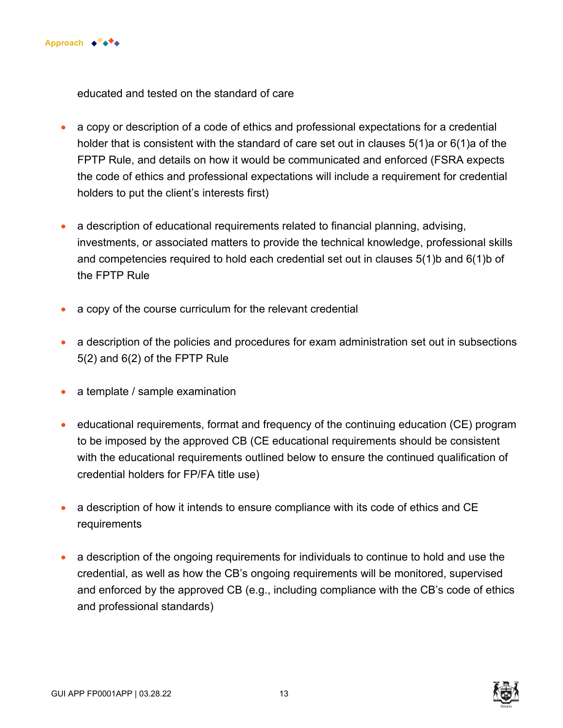

educated and tested on the standard of care

- a copy or description of a code of ethics and professional expectations for a credential holder that is consistent with the standard of care set out in clauses 5(1)a or 6(1)a of the FPTP Rule, and details on how it would be communicated and enforced (FSRA expects the code of ethics and professional expectations will include a requirement for credential holders to put the client's interests first)
- a description of educational requirements related to financial planning, advising, investments, or associated matters to provide the technical knowledge, professional skills and competencies required to hold each credential set out in clauses 5(1)b and 6(1)b of the FPTP Rule
- a copy of the course curriculum for the relevant credential
- a description of the policies and procedures for exam administration set out in subsections 5(2) and 6(2) of the FPTP Rule
- a template / sample examination
- educational requirements, format and frequency of the continuing education (CE) program to be imposed by the approved CB (CE educational requirements should be consistent with the educational requirements outlined below to ensure the continued qualification of credential holders for FP/FA title use)
- a description of how it intends to ensure compliance with its code of ethics and CE requirements
- a description of the ongoing requirements for individuals to continue to hold and use the credential, as well as how the CB's ongoing requirements will be monitored, supervised and enforced by the approved CB (e.g., including compliance with the CB's code of ethics and professional standards)

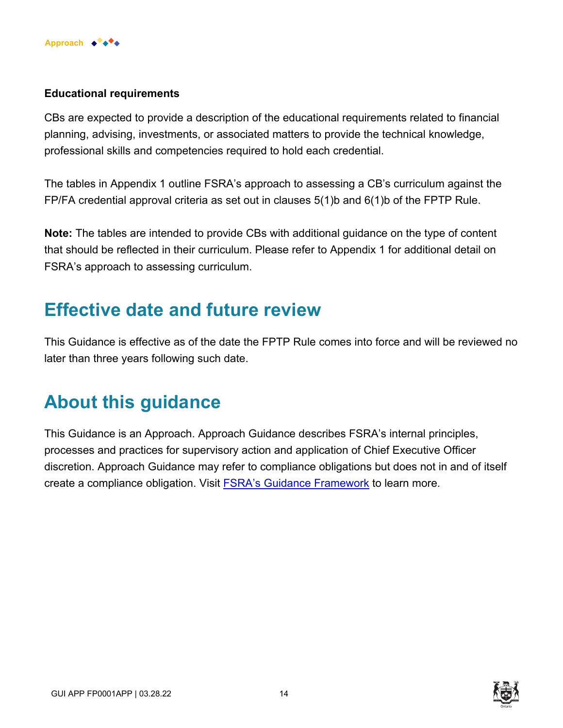

#### **Educational requirements**

CBs are expected to provide a description of the educational requirements related to financial planning, advising, investments, or associated matters to provide the technical knowledge, professional skills and competencies required to hold each credential.

The tables in Appendix 1 outline FSRA's approach to assessing a CB's curriculum against the FP/FA credential approval criteria as set out in clauses 5(1)b and 6(1)b of the FPTP Rule.

**Note:** The tables are intended to provide CBs with additional guidance on the type of content that should be reflected in their curriculum. Please refer to Appendix 1 for additional detail on FSRA's approach to assessing curriculum.

# **Effective date and future review**

This Guidance is effective as of the date the FPTP Rule comes into force and will be reviewed no later than three years following such date.

# **About this guidance**

This Guidance is an Approach. Approach Guidance describes FSRA's internal principles, processes and practices for supervisory action and application of Chief Executive Officer discretion. Approach Guidance may refer to compliance obligations but does not in and of itself create a compliance obligation. Visit [FSRA's Guidance Framework](https://www.fsrao.ca/regulation/guidance/fsra-guidance-framework) to learn more.

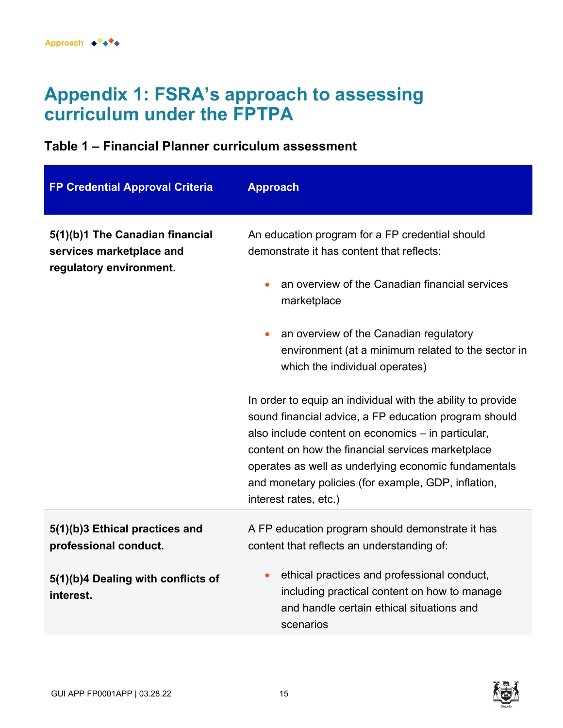# **Appendix 1: FSRA's approach to assessing curriculum under the FPTPA**

### **Table 1 – Financial Planner curriculum assessment**

| <b>FP Credential Approval Criteria</b>                                                 | <b>Approach</b>                                                                                                                                                                                                                                                                                                                                                         |
|----------------------------------------------------------------------------------------|-------------------------------------------------------------------------------------------------------------------------------------------------------------------------------------------------------------------------------------------------------------------------------------------------------------------------------------------------------------------------|
| 5(1)(b)1 The Canadian financial<br>services marketplace and<br>regulatory environment. | An education program for a FP credential should<br>demonstrate it has content that reflects:                                                                                                                                                                                                                                                                            |
|                                                                                        | an overview of the Canadian financial services<br>marketplace                                                                                                                                                                                                                                                                                                           |
|                                                                                        | an overview of the Canadian regulatory<br>environment (at a minimum related to the sector in<br>which the individual operates)                                                                                                                                                                                                                                          |
|                                                                                        | In order to equip an individual with the ability to provide<br>sound financial advice, a FP education program should<br>also include content on economics - in particular,<br>content on how the financial services marketplace<br>operates as well as underlying economic fundamentals<br>and monetary policies (for example, GDP, inflation,<br>interest rates, etc.) |
| 5(1)(b)3 Ethical practices and<br>professional conduct.                                | A FP education program should demonstrate it has<br>content that reflects an understanding of:                                                                                                                                                                                                                                                                          |
| 5(1)(b)4 Dealing with conflicts of<br>interest.                                        | ethical practices and professional conduct,<br>including practical content on how to manage<br>and handle certain ethical situations and<br>scenarios                                                                                                                                                                                                                   |

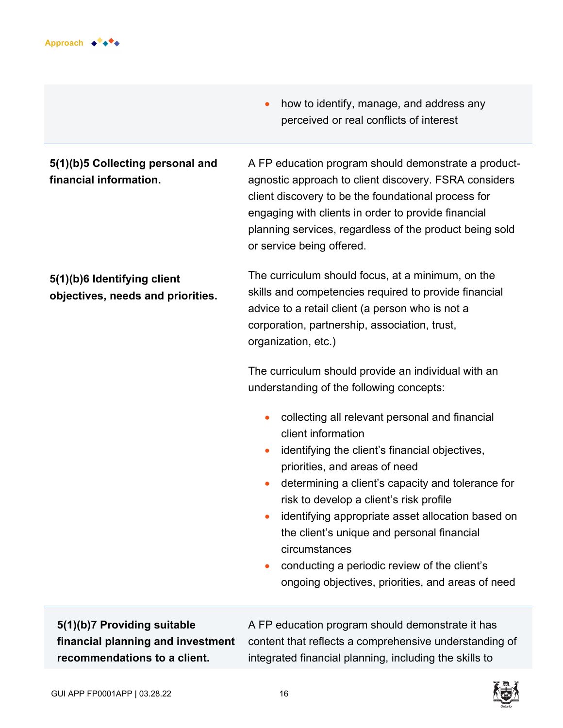

- **5(1)(b)5 Collecting personal and financial information.**
- how to identify, manage, and address any perceived or real conflicts of interest

A FP education program should demonstrate a productagnostic approach to client discovery. FSRA considers client discovery to be the foundational process for engaging with clients in order to provide financial planning services, regardless of the product being sold or service being offered.

#### **5(1)(b)6 Identifying client objectives, needs and priorities.**

The curriculum should focus, at a minimum, on the skills and competencies required to provide financial advice to a retail client (a person who is not a corporation, partnership, association, trust, organization, etc.)

The curriculum should provide an individual with an understanding of the following concepts:

- collecting all relevant personal and financial client information
- identifying the client's financial objectives, priorities, and areas of need
- determining a client's capacity and tolerance for risk to develop a client's risk profile
- identifying appropriate asset allocation based on the client's unique and personal financial circumstances
- conducting a periodic review of the client's ongoing objectives, priorities, and areas of need

**5(1)(b)7 Providing suitable financial planning and investment recommendations to a client.** 

A FP education program should demonstrate it has content that reflects a comprehensive understanding of integrated financial planning, including the skills to

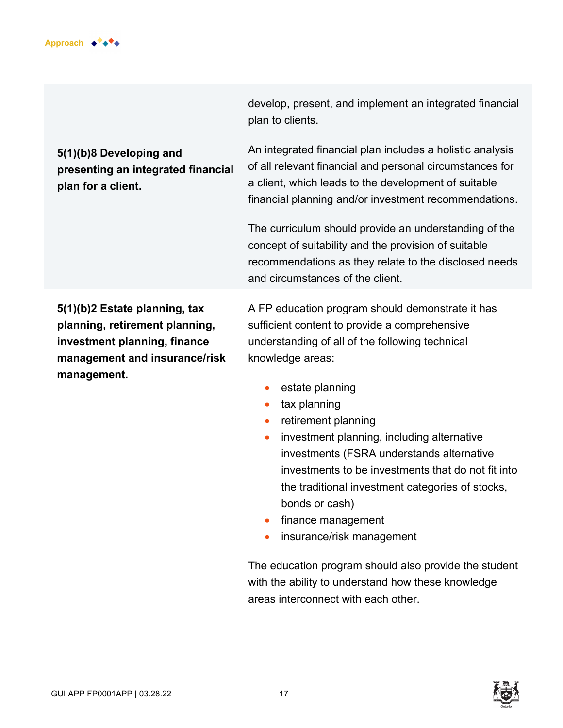

develop, present, and implement an integrated financial plan to clients.

## **5(1)(b)8 Developing and presenting an integrated financial plan for a client.**

An integrated financial plan includes a holistic analysis of all relevant financial and personal circumstances for a client, which leads to the development of suitable financial planning and/or investment recommendations.

The curriculum should provide an understanding of the concept of suitability and the provision of suitable recommendations as they relate to the disclosed needs and circumstances of the client.

**5(1)(b)2 Estate planning, tax planning, retirement planning, investment planning, finance management and insurance/risk management.**

A FP education program should demonstrate it has sufficient content to provide a comprehensive understanding of all of the following technical knowledge areas:

- estate planning
- tax planning
- retirement planning
- investment planning, including alternative investments (FSRA understands alternative investments to be investments that do not fit into the traditional investment categories of stocks, bonds or cash)
- finance management
- insurance/risk management

The education program should also provide the student with the ability to understand how these knowledge areas interconnect with each other.



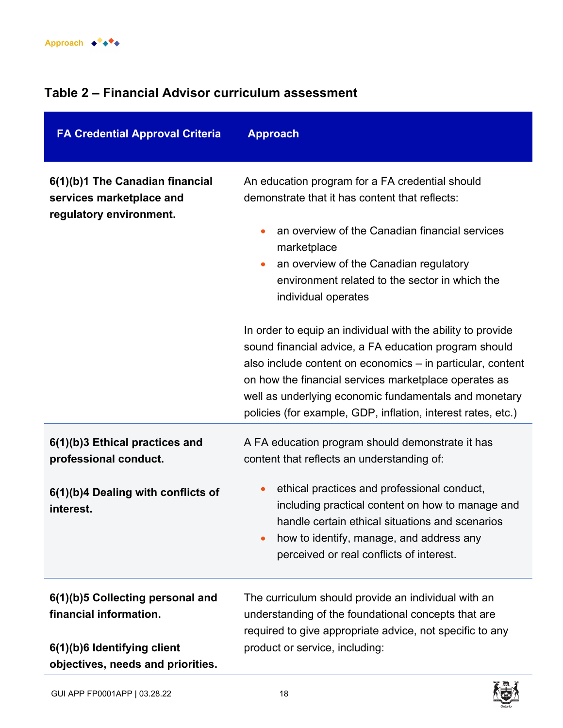# **Table 2 – Financial Advisor curriculum assessment**

| <b>FA Credential Approval Criteria</b>                                                                                         | <b>Approach</b>                                                                                                                                                                                                                                                                                                                                                                                                                                                                                                                                                                                                                                                            |
|--------------------------------------------------------------------------------------------------------------------------------|----------------------------------------------------------------------------------------------------------------------------------------------------------------------------------------------------------------------------------------------------------------------------------------------------------------------------------------------------------------------------------------------------------------------------------------------------------------------------------------------------------------------------------------------------------------------------------------------------------------------------------------------------------------------------|
| 6(1)(b)1 The Canadian financial<br>services marketplace and<br>regulatory environment.                                         | An education program for a FA credential should<br>demonstrate that it has content that reflects:<br>an overview of the Canadian financial services<br>marketplace<br>an overview of the Canadian regulatory<br>$\bullet$<br>environment related to the sector in which the<br>individual operates<br>In order to equip an individual with the ability to provide<br>sound financial advice, a FA education program should<br>also include content on economics - in particular, content<br>on how the financial services marketplace operates as<br>well as underlying economic fundamentals and monetary<br>policies (for example, GDP, inflation, interest rates, etc.) |
| 6(1)(b)3 Ethical practices and<br>professional conduct.<br>6(1)(b)4 Dealing with conflicts of<br>interest.                     | A FA education program should demonstrate it has<br>content that reflects an understanding of:<br>ethical practices and professional conduct,<br>$\bullet$<br>including practical content on how to manage and<br>handle certain ethical situations and scenarios<br>how to identify, manage, and address any<br>perceived or real conflicts of interest.                                                                                                                                                                                                                                                                                                                  |
| 6(1)(b)5 Collecting personal and<br>financial information.<br>6(1)(b)6 Identifying client<br>objectives, needs and priorities. | The curriculum should provide an individual with an<br>understanding of the foundational concepts that are<br>required to give appropriate advice, not specific to any<br>product or service, including:                                                                                                                                                                                                                                                                                                                                                                                                                                                                   |

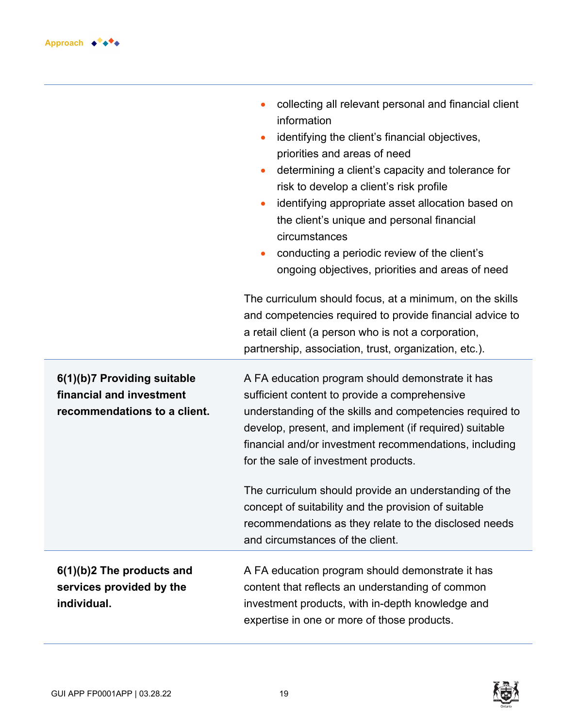

|                                                                                         | collecting all relevant personal and financial client<br>information<br>identifying the client's financial objectives,<br>priorities and areas of need<br>determining a client's capacity and tolerance for<br>risk to develop a client's risk profile<br>identifying appropriate asset allocation based on<br>$\bullet$<br>the client's unique and personal financial<br>circumstances<br>conducting a periodic review of the client's<br>ongoing objectives, priorities and areas of need                                             |
|-----------------------------------------------------------------------------------------|-----------------------------------------------------------------------------------------------------------------------------------------------------------------------------------------------------------------------------------------------------------------------------------------------------------------------------------------------------------------------------------------------------------------------------------------------------------------------------------------------------------------------------------------|
|                                                                                         | The curriculum should focus, at a minimum, on the skills<br>and competencies required to provide financial advice to<br>a retail client (a person who is not a corporation,<br>partnership, association, trust, organization, etc.).                                                                                                                                                                                                                                                                                                    |
| 6(1)(b)7 Providing suitable<br>financial and investment<br>recommendations to a client. | A FA education program should demonstrate it has<br>sufficient content to provide a comprehensive<br>understanding of the skills and competencies required to<br>develop, present, and implement (if required) suitable<br>financial and/or investment recommendations, including<br>for the sale of investment products.<br>The curriculum should provide an understanding of the<br>concept of suitability and the provision of suitable<br>recommendations as they relate to the disclosed needs<br>and circumstances of the client. |
| 6(1)(b)2 The products and<br>services provided by the<br>individual.                    | A FA education program should demonstrate it has<br>content that reflects an understanding of common<br>investment products, with in-depth knowledge and<br>expertise in one or more of those products.                                                                                                                                                                                                                                                                                                                                 |